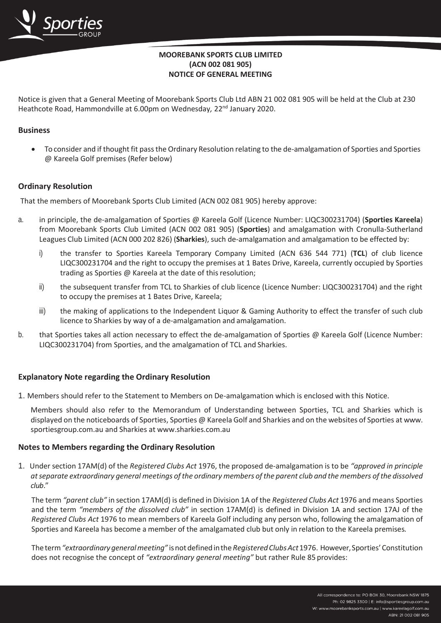# **MOOREBANK SPORTS CLUB LIMITED (ACN 002 081 905) NOTICE OF GENERAL MEETING**

Notice is given that a General Meeting of Moorebank Sports Club Ltd ABN 21 002 081 905 will be held at the Club at 230 Heathcote Road, Hammondville at 6.00pm on Wednesday, 22<sup>nd</sup> January 2020.

## **Business**

• To consider and if thought fit passthe Ordinary Resolution relating to the de-amalgamation of Sporties and Sporties @ Kareela Golf premises (Refer below)

### **Ordinary Resolution**

That the members of Moorebank Sports Club Limited (ACN 002 081 905) hereby approve:

- a. in principle, the de-amalgamation of Sporties @ Kareela Golf (Licence Number: LIQC300231704) (**Sporties Kareela**) from Moorebank Sports Club Limited (ACN 002 081 905) (**Sporties**) and amalgamation with Cronulla-Sutherland Leagues Club Limited (ACN 000 202 826) (**Sharkies**), such de-amalgamation and amalgamation to be effected by:
	- i) the transfer to Sporties Kareela Temporary Company Limited (ACN 636 544 771) (**TCL**) of club licence LIQC300231704 and the right to occupy the premises at 1 Bates Drive, Kareela, currently occupied by Sporties trading as Sporties @ Kareela at the date of this resolution;
	- ii) the subsequent transfer from TCL to Sharkies of club licence (Licence Number: LIQC300231704) and the right to occupy the premises at 1 Bates Drive, Kareela;
	- iii) the making of applications to the Independent Liquor & Gaming Authority to effect the transfer of such club licence to Sharkies by way of a de-amalgamation and amalgamation.
- b. that Sporties takes all action necessary to effect the de-amalgamation of Sporties @ Kareela Golf (Licence Number: LIQC300231704) from Sporties, and the amalgamation of TCL and Sharkies.

### **Explanatory Note regarding the Ordinary Resolution**

1. Members should refer to the Statement to Members on De-amalgamation which is enclosed with this Notice.

Members should also refer to the Memorandum of Understanding between Sporties, TCL and Sharkies which is displayed on the noticeboards of Sporties, Sporties @ Kareela Golf and Sharkies and on the websites of Sporties at [www.](http://www/) sportiesgroup.com.au and Sharkies at [www.sharkies.com.au](http://www.sharkies.com.au/)

### **Notes to Members regarding the Ordinary Resolution**

1. Under section 17AM(d) of the *Registered Clubs Act* 1976, the proposed de-amalgamation is to be *"approved in principle atseparate extraordinary general meetings ofthe ordinary members ofthe parent club and the members ofthe dissolved club*."

The term *"parent club"* in section 17AM(d) is defined in Division 1A of the *Registered Clubs Act* 1976 and means Sporties and the term *"members of the dissolved club"* in section 17AM(d) is defined in Division 1A and section 17AJ of the *Registered Clubs Act* 1976 to mean members of Kareela Golf including any person who, following the amalgamation of Sporties and Kareela has become a member of the amalgamated club but only in relation to the Kareela premises*.*

Theterm*"extraordinarygeneralmeeting"* isnotdefinedinthe *RegisteredClubsAct*1976. However,Sporties'Constitution does not recognise the concept of *"extraordinary general meeting"* but rather Rule 85 provides: